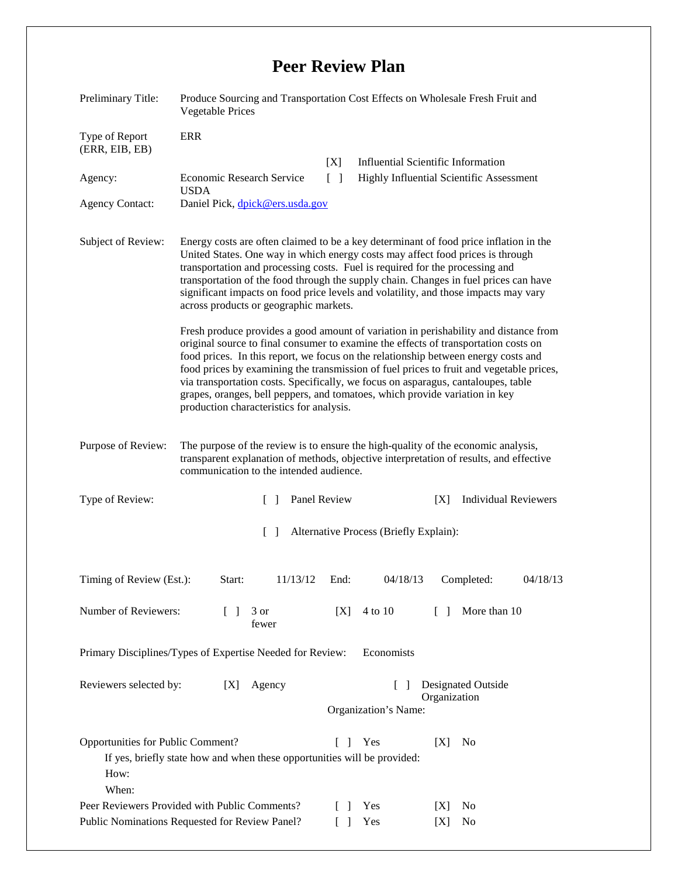## **Peer Review Plan**

| Preliminary Title:                                                                                                                                                       | Produce Sourcing and Transportation Cost Effects on Wholesale Fresh Fruit and<br><b>Vegetable Prices</b>                                                                                                                                                                                                                                                                                                                                                                                                                                                                     |                        |                                                                      |        |                                                                                       |          |  |
|--------------------------------------------------------------------------------------------------------------------------------------------------------------------------|------------------------------------------------------------------------------------------------------------------------------------------------------------------------------------------------------------------------------------------------------------------------------------------------------------------------------------------------------------------------------------------------------------------------------------------------------------------------------------------------------------------------------------------------------------------------------|------------------------|----------------------------------------------------------------------|--------|---------------------------------------------------------------------------------------|----------|--|
| Type of Report<br>(ERR, EIB, EB)                                                                                                                                         | <b>ERR</b>                                                                                                                                                                                                                                                                                                                                                                                                                                                                                                                                                                   |                        |                                                                      |        |                                                                                       |          |  |
| Agency:                                                                                                                                                                  | Economic Research Service<br><b>USDA</b>                                                                                                                                                                                                                                                                                                                                                                                                                                                                                                                                     | [X]<br>$\lceil \rceil$ |                                                                      |        | <b>Influential Scientific Information</b><br>Highly Influential Scientific Assessment |          |  |
| <b>Agency Contact:</b>                                                                                                                                                   | Daniel Pick, dpick@ers.usda.gov                                                                                                                                                                                                                                                                                                                                                                                                                                                                                                                                              |                        |                                                                      |        |                                                                                       |          |  |
| Subject of Review:                                                                                                                                                       | Energy costs are often claimed to be a key determinant of food price inflation in the<br>United States. One way in which energy costs may affect food prices is through<br>transportation and processing costs. Fuel is required for the processing and<br>transportation of the food through the supply chain. Changes in fuel prices can have<br>significant impacts on food price levels and volatility, and those impacts may vary<br>across products or geographic markets.                                                                                             |                        |                                                                      |        |                                                                                       |          |  |
|                                                                                                                                                                          | Fresh produce provides a good amount of variation in perishability and distance from<br>original source to final consumer to examine the effects of transportation costs on<br>food prices. In this report, we focus on the relationship between energy costs and<br>food prices by examining the transmission of fuel prices to fruit and vegetable prices,<br>via transportation costs. Specifically, we focus on asparagus, cantaloupes, table<br>grapes, oranges, bell peppers, and tomatoes, which provide variation in key<br>production characteristics for analysis. |                        |                                                                      |        |                                                                                       |          |  |
| Purpose of Review:                                                                                                                                                       | The purpose of the review is to ensure the high-quality of the economic analysis,<br>transparent explanation of methods, objective interpretation of results, and effective<br>communication to the intended audience.                                                                                                                                                                                                                                                                                                                                                       |                        |                                                                      |        |                                                                                       |          |  |
| Type of Review:<br>Panel Review<br>$\lceil \rceil$                                                                                                                       |                                                                                                                                                                                                                                                                                                                                                                                                                                                                                                                                                                              |                        | <b>Individual Reviewers</b><br>[X]                                   |        |                                                                                       |          |  |
| Alternative Process (Briefly Explain):<br>$\Box$                                                                                                                         |                                                                                                                                                                                                                                                                                                                                                                                                                                                                                                                                                                              |                        |                                                                      |        |                                                                                       |          |  |
| Timing of Review (Est.):                                                                                                                                                 | 11/13/12<br>Start:                                                                                                                                                                                                                                                                                                                                                                                                                                                                                                                                                           | End:                   | 04/18/13                                                             |        | Completed:                                                                            | 04/18/13 |  |
| Number of Reviewers:                                                                                                                                                     | 3 or<br>$\Box$<br>fewer                                                                                                                                                                                                                                                                                                                                                                                                                                                                                                                                                      | [X]                    | 4 to 10                                                              | $\Box$ | More than 10                                                                          |          |  |
| Primary Disciplines/Types of Expertise Needed for Review:<br>Economists                                                                                                  |                                                                                                                                                                                                                                                                                                                                                                                                                                                                                                                                                                              |                        |                                                                      |        |                                                                                       |          |  |
| Reviewers selected by:<br>Agency<br>[X]                                                                                                                                  |                                                                                                                                                                                                                                                                                                                                                                                                                                                                                                                                                                              |                        | Designated Outside<br>$\Box$<br>Organization<br>Organization's Name: |        |                                                                                       |          |  |
| Opportunities for Public Comment?<br>$\Box$<br>Yes<br>[X]<br>N <sub>0</sub><br>If yes, briefly state how and when these opportunities will be provided:<br>How:<br>When: |                                                                                                                                                                                                                                                                                                                                                                                                                                                                                                                                                                              |                        |                                                                      |        |                                                                                       |          |  |
| Peer Reviewers Provided with Public Comments?                                                                                                                            |                                                                                                                                                                                                                                                                                                                                                                                                                                                                                                                                                                              |                        | Yes                                                                  | X      | N <sub>0</sub>                                                                        |          |  |
| Public Nominations Requested for Review Panel?<br>Yes<br>N <sub>0</sub><br>$\Box$<br>[X]                                                                                 |                                                                                                                                                                                                                                                                                                                                                                                                                                                                                                                                                                              |                        |                                                                      |        |                                                                                       |          |  |